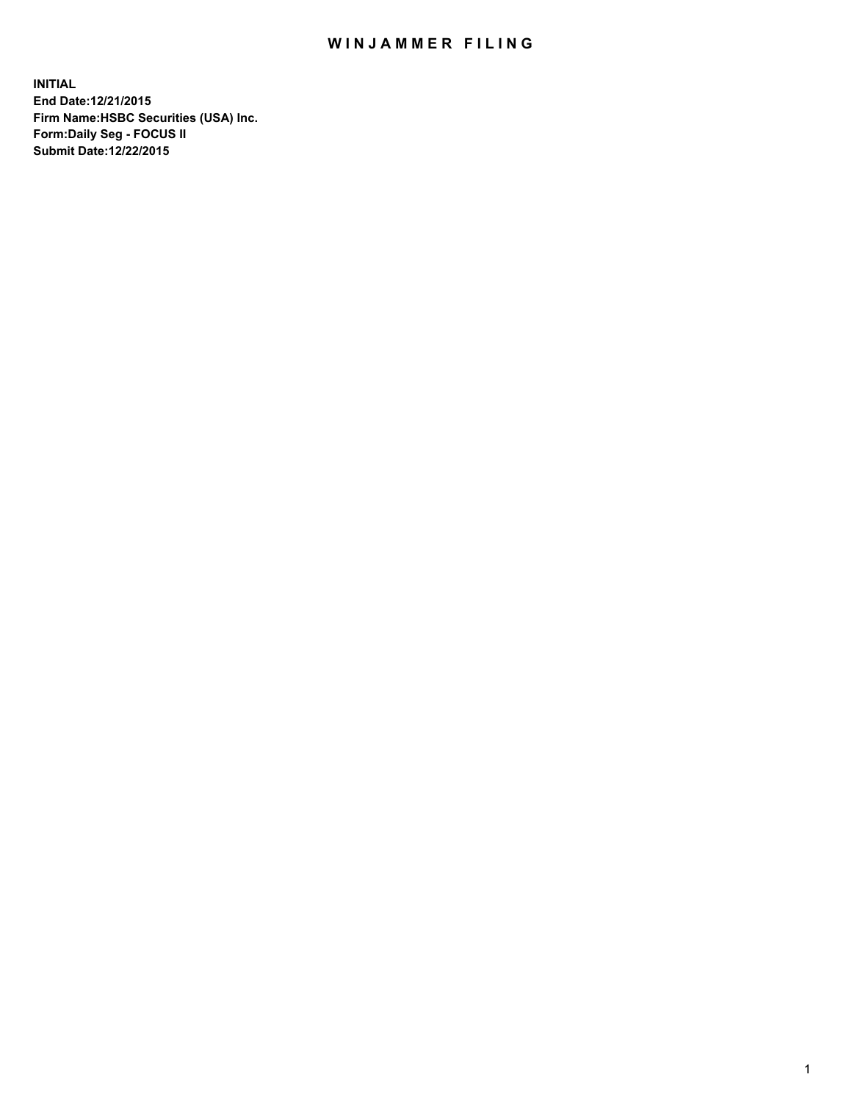## WIN JAMMER FILING

**INITIAL End Date:12/21/2015 Firm Name:HSBC Securities (USA) Inc. Form:Daily Seg - FOCUS II Submit Date:12/22/2015**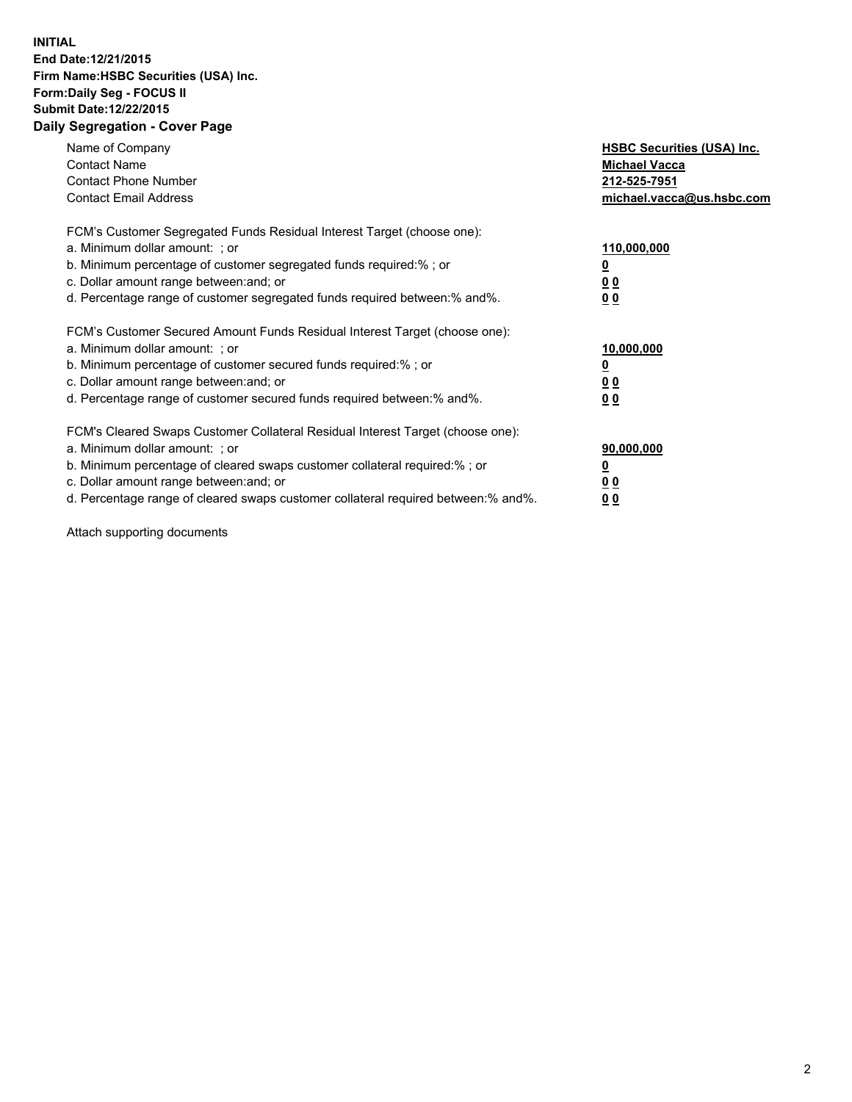## **INITIAL End Date:12/21/2015 Firm Name:HSBC Securities (USA) Inc. Form:Daily Seg - FOCUS II Submit Date:12/22/2015 Daily Segregation - Cover Page**

| Name of Company<br><b>Contact Name</b><br><b>Contact Phone Number</b><br><b>Contact Email Address</b>                                                                                                                                                                                                                         | <b>HSBC Securities (USA) Inc.</b><br><b>Michael Vacca</b><br>212-525-7951<br>michael.vacca@us.hsbc.com |
|-------------------------------------------------------------------------------------------------------------------------------------------------------------------------------------------------------------------------------------------------------------------------------------------------------------------------------|--------------------------------------------------------------------------------------------------------|
| FCM's Customer Segregated Funds Residual Interest Target (choose one):<br>a. Minimum dollar amount: ; or<br>b. Minimum percentage of customer segregated funds required:% ; or<br>c. Dollar amount range between: and; or<br>d. Percentage range of customer segregated funds required between: % and %.                      | 110,000,000<br><u>0</u><br>00<br>00                                                                    |
| FCM's Customer Secured Amount Funds Residual Interest Target (choose one):<br>a. Minimum dollar amount: ; or<br>b. Minimum percentage of customer secured funds required:%; or<br>c. Dollar amount range between: and; or<br>d. Percentage range of customer secured funds required between:% and%.                           | 10,000,000<br><u>0</u><br><u>00</u><br>0 <sub>0</sub>                                                  |
| FCM's Cleared Swaps Customer Collateral Residual Interest Target (choose one):<br>a. Minimum dollar amount: ; or<br>b. Minimum percentage of cleared swaps customer collateral required:%; or<br>c. Dollar amount range between: and; or<br>d. Percentage range of cleared swaps customer collateral required between:% and%. | 90,000,000<br><u>0</u><br>0 <sub>0</sub><br>0 <sub>0</sub>                                             |

Attach supporting documents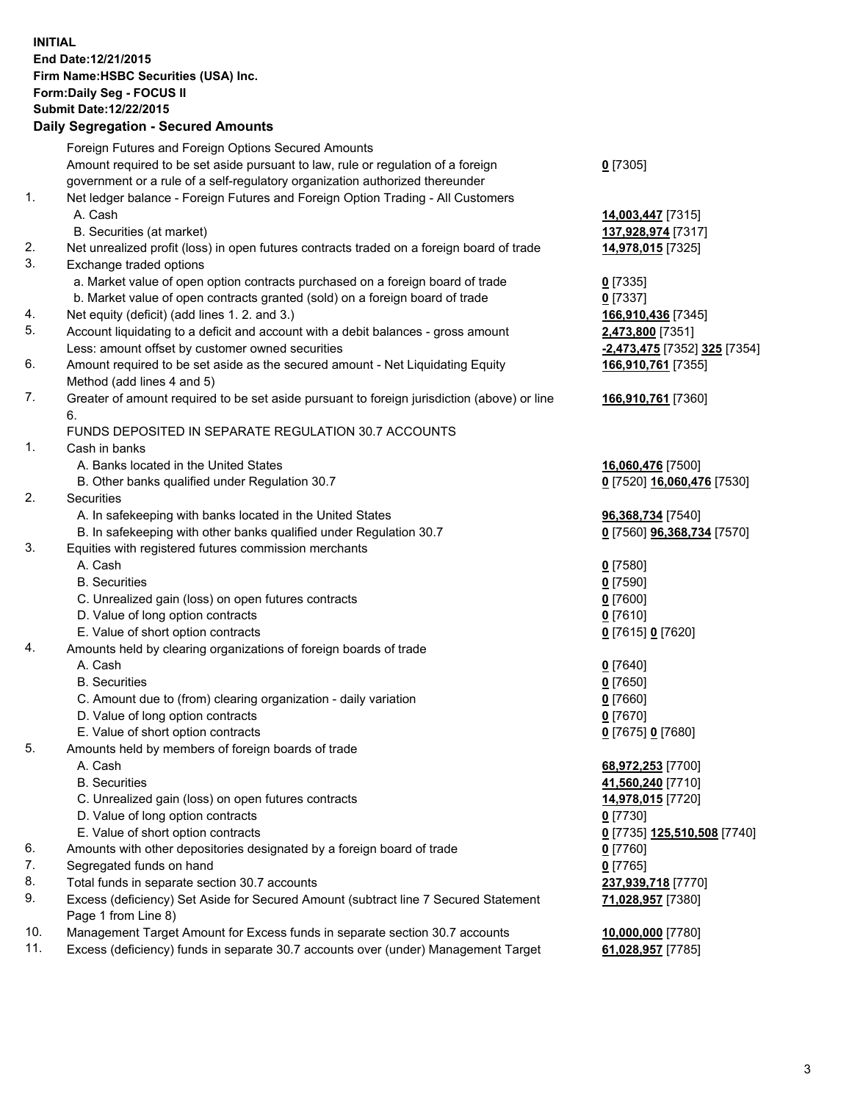**INITIAL End Date:12/21/2015 Firm Name:HSBC Securities (USA) Inc. Form:Daily Seg - FOCUS II Submit Date:12/22/2015**

## **Daily Segregation - Secured Amounts**

|     | Foreign Futures and Foreign Options Secured Amounts                                                          |                              |
|-----|--------------------------------------------------------------------------------------------------------------|------------------------------|
|     | Amount required to be set aside pursuant to law, rule or regulation of a foreign                             | $0$ [7305]                   |
|     | government or a rule of a self-regulatory organization authorized thereunder                                 |                              |
| 1.  | Net ledger balance - Foreign Futures and Foreign Option Trading - All Customers                              |                              |
|     | A. Cash                                                                                                      | 14,003,447 [7315]            |
|     | B. Securities (at market)                                                                                    | 137,928,974 [7317]           |
| 2.  | Net unrealized profit (loss) in open futures contracts traded on a foreign board of trade                    | 14,978,015 [7325]            |
| 3.  | Exchange traded options                                                                                      |                              |
|     | a. Market value of open option contracts purchased on a foreign board of trade                               | $0$ [7335]                   |
|     | b. Market value of open contracts granted (sold) on a foreign board of trade                                 | $0$ [7337]                   |
| 4.  | Net equity (deficit) (add lines 1.2. and 3.)                                                                 | 166,910,436 [7345]           |
| 5.  | Account liquidating to a deficit and account with a debit balances - gross amount                            | 2,473,800 [7351]             |
|     | Less: amount offset by customer owned securities                                                             | -2,473,475 [7352] 325 [7354] |
| 6.  | Amount required to be set aside as the secured amount - Net Liquidating Equity<br>Method (add lines 4 and 5) | 166,910,761 [7355]           |
| 7.  | Greater of amount required to be set aside pursuant to foreign jurisdiction (above) or line                  | 166,910,761 [7360]           |
|     | 6.                                                                                                           |                              |
|     | FUNDS DEPOSITED IN SEPARATE REGULATION 30.7 ACCOUNTS                                                         |                              |
| 1.  | Cash in banks                                                                                                |                              |
|     | A. Banks located in the United States                                                                        | 16,060,476 [7500]            |
|     | B. Other banks qualified under Regulation 30.7                                                               | 0 [7520] 16,060,476 [7530]   |
| 2.  | Securities                                                                                                   |                              |
|     | A. In safekeeping with banks located in the United States                                                    | 96,368,734 [7540]            |
|     | B. In safekeeping with other banks qualified under Regulation 30.7                                           | 0 [7560] 96,368,734 [7570]   |
| 3.  | Equities with registered futures commission merchants                                                        |                              |
|     | A. Cash                                                                                                      | $0$ [7580]                   |
|     | <b>B.</b> Securities                                                                                         | $0$ [7590]                   |
|     | C. Unrealized gain (loss) on open futures contracts                                                          | $0$ [7600]                   |
|     | D. Value of long option contracts                                                                            | $0$ [7610]                   |
|     | E. Value of short option contracts                                                                           | 0 [7615] 0 [7620]            |
| 4.  | Amounts held by clearing organizations of foreign boards of trade                                            |                              |
|     | A. Cash                                                                                                      | $0$ [7640]                   |
|     | <b>B.</b> Securities                                                                                         | $0$ [7650]                   |
|     | C. Amount due to (from) clearing organization - daily variation                                              | $0$ [7660]                   |
|     | D. Value of long option contracts                                                                            | $0$ [7670]                   |
|     | E. Value of short option contracts                                                                           | 0 [7675] 0 [7680]            |
| 5.  | Amounts held by members of foreign boards of trade                                                           |                              |
|     | A. Cash                                                                                                      | 68,972,253 [7700]            |
|     | <b>B.</b> Securities                                                                                         | 41,560,240 [7710]            |
|     | C. Unrealized gain (loss) on open futures contracts                                                          | 14,978,015 [7720]            |
|     | D. Value of long option contracts                                                                            | 0 [7730]                     |
|     | E. Value of short option contracts                                                                           | 0 [7735] 125,510,508 [7740]  |
| 6.  | Amounts with other depositories designated by a foreign board of trade                                       | 0 [7760]                     |
| 7.  | Segregated funds on hand                                                                                     | $0$ [7765]                   |
| 8.  | Total funds in separate section 30.7 accounts                                                                | 237,939,718 [7770]           |
| 9.  | Excess (deficiency) Set Aside for Secured Amount (subtract line 7 Secured Statement<br>Page 1 from Line 8)   | 71,028,957 [7380]            |
| 10. | Management Target Amount for Excess funds in separate section 30.7 accounts                                  | 10,000,000 [7780]            |
| 11. | Excess (deficiency) funds in separate 30.7 accounts over (under) Management Target                           | 61,028,957 [7785]            |
|     |                                                                                                              |                              |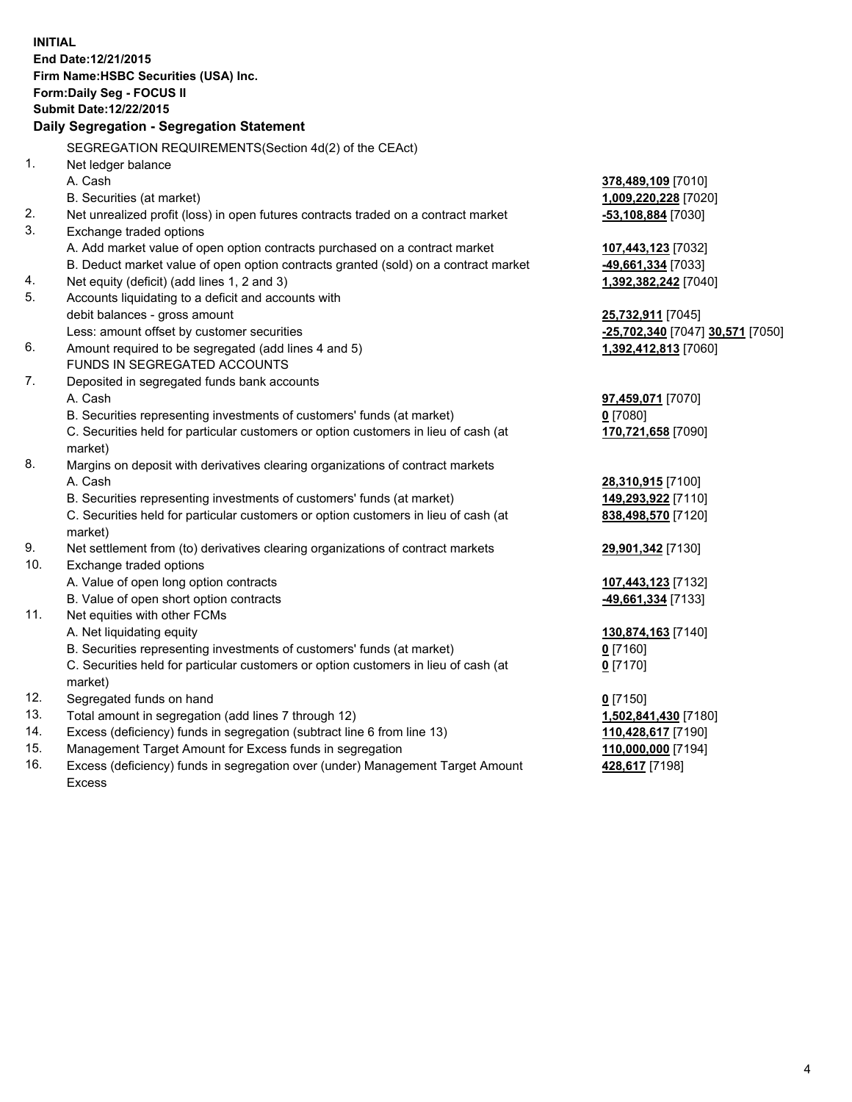| <b>INITIAL</b>                        | End Date: 12/21/2015                                                                           |                                  |  |  |  |  |  |
|---------------------------------------|------------------------------------------------------------------------------------------------|----------------------------------|--|--|--|--|--|
| Firm Name: HSBC Securities (USA) Inc. |                                                                                                |                                  |  |  |  |  |  |
|                                       | Form: Daily Seg - FOCUS II                                                                     |                                  |  |  |  |  |  |
|                                       | Submit Date: 12/22/2015                                                                        |                                  |  |  |  |  |  |
|                                       | Daily Segregation - Segregation Statement                                                      |                                  |  |  |  |  |  |
|                                       | SEGREGATION REQUIREMENTS(Section 4d(2) of the CEAct)                                           |                                  |  |  |  |  |  |
| 1.                                    | Net ledger balance                                                                             |                                  |  |  |  |  |  |
|                                       | A. Cash                                                                                        | 378,489,109 [7010]               |  |  |  |  |  |
|                                       | B. Securities (at market)                                                                      | 1,009,220,228 [7020]             |  |  |  |  |  |
| 2.                                    | Net unrealized profit (loss) in open futures contracts traded on a contract market             | $-53,108,884$ [7030]             |  |  |  |  |  |
| 3.                                    | Exchange traded options                                                                        |                                  |  |  |  |  |  |
|                                       | A. Add market value of open option contracts purchased on a contract market                    | 107,443,123 [7032]               |  |  |  |  |  |
|                                       | B. Deduct market value of open option contracts granted (sold) on a contract market            | 49,661,334 [7033]                |  |  |  |  |  |
| 4.                                    | Net equity (deficit) (add lines 1, 2 and 3)                                                    | 1,392,382,242 [7040]             |  |  |  |  |  |
| 5.                                    | Accounts liquidating to a deficit and accounts with                                            |                                  |  |  |  |  |  |
|                                       | debit balances - gross amount                                                                  | 25,732,911 [7045]                |  |  |  |  |  |
|                                       | Less: amount offset by customer securities                                                     | -25,702,340 [7047] 30,571 [7050] |  |  |  |  |  |
| 6.                                    | Amount required to be segregated (add lines 4 and 5)                                           | 1,392,412,813 [7060]             |  |  |  |  |  |
|                                       | FUNDS IN SEGREGATED ACCOUNTS                                                                   |                                  |  |  |  |  |  |
| 7.                                    | Deposited in segregated funds bank accounts                                                    |                                  |  |  |  |  |  |
|                                       | A. Cash                                                                                        | 97,459,071 [7070]                |  |  |  |  |  |
|                                       | B. Securities representing investments of customers' funds (at market)                         | $0$ [7080]                       |  |  |  |  |  |
|                                       | C. Securities held for particular customers or option customers in lieu of cash (at            | 170,721,658 [7090]               |  |  |  |  |  |
|                                       | market)                                                                                        |                                  |  |  |  |  |  |
| 8.                                    | Margins on deposit with derivatives clearing organizations of contract markets                 |                                  |  |  |  |  |  |
|                                       | A. Cash                                                                                        | 28,310,915 [7100]                |  |  |  |  |  |
|                                       | B. Securities representing investments of customers' funds (at market)                         | 149,293,922 [7110]               |  |  |  |  |  |
|                                       | C. Securities held for particular customers or option customers in lieu of cash (at<br>market) | 838,498,570 [7120]               |  |  |  |  |  |
| 9.                                    | Net settlement from (to) derivatives clearing organizations of contract markets                | 29,901,342 [7130]                |  |  |  |  |  |
| 10.                                   | Exchange traded options                                                                        |                                  |  |  |  |  |  |
|                                       | A. Value of open long option contracts                                                         | 107,443,123 [7132]               |  |  |  |  |  |
|                                       | B. Value of open short option contracts                                                        | 49,661,334 [7133]                |  |  |  |  |  |
| 11.                                   | Net equities with other FCMs                                                                   |                                  |  |  |  |  |  |
|                                       | A. Net liquidating equity                                                                      | 130,874,163 [7140]               |  |  |  |  |  |
|                                       | B. Securities representing investments of customers' funds (at market)                         | $0$ [7160]                       |  |  |  |  |  |
|                                       | C. Securities held for particular customers or option customers in lieu of cash (at<br>market) | 0 <sup>[7170]</sup>              |  |  |  |  |  |
| 12.                                   | Segregated funds on hand                                                                       | $0$ [7150]                       |  |  |  |  |  |
| 13.                                   | Total amount in segregation (add lines 7 through 12)                                           | 1,502,841,430 [7180]             |  |  |  |  |  |
| 14.                                   | Excess (deficiency) funds in segregation (subtract line 6 from line 13)                        | 110,428,617 [7190]               |  |  |  |  |  |
| 15.                                   | Management Target Amount for Excess funds in segregation                                       | 110,000,000 [7194]               |  |  |  |  |  |
| 16.                                   | Excess (deficiency) funds in segregation over (under) Management Target Amount                 | 428,617 [7198]                   |  |  |  |  |  |

16. Excess (deficiency) funds in segregation over (under) Management Target Amount Excess